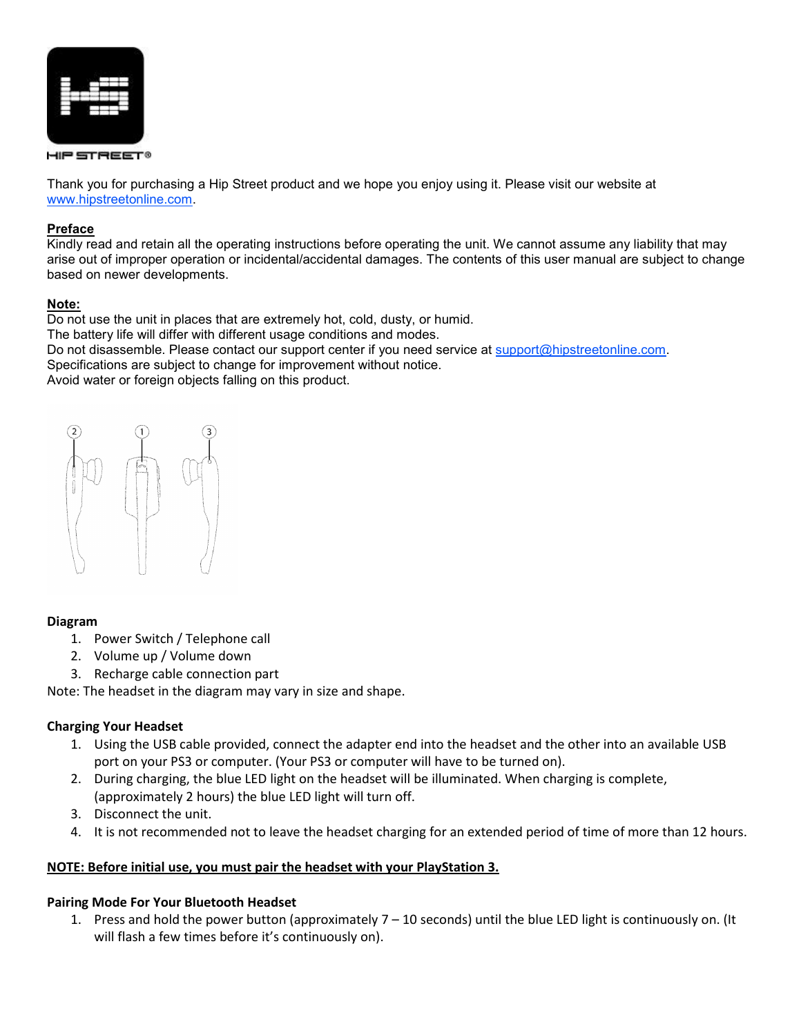

HIP STREET®

Thank you for purchasing a Hip Street product and we hope you enjoy using it. Please visit our website at www.hipstreetonline.com.

## Preface

Kindly read and retain all the operating instructions before operating the unit. We cannot assume any liability that may arise out of improper operation or incidental/accidental damages. The contents of this user manual are subject to change based on newer developments.

## Note:

Do not use the unit in places that are extremely hot, cold, dusty, or humid. The battery life will differ with different usage conditions and modes. Do not disassemble. Please contact our support center if you need service at support@hipstreetonline.com. Specifications are subject to change for improvement without notice. Avoid water or foreign objects falling on this product.



## Diagram

- 1. Power Switch / Telephone call
- 2. Volume up / Volume down
- 3. Recharge cable connection part

Note: The headset in the diagram may vary in size and shape.

## Charging Your Headset

- 1. Using the USB cable provided, connect the adapter end into the headset and the other into an available USB port on your PS3 or computer. (Your PS3 or computer will have to be turned on).
- 2. During charging, the blue LED light on the headset will be illuminated. When charging is complete, (approximately 2 hours) the blue LED light will turn off.
- 3. Disconnect the unit.
- 4. It is not recommended not to leave the headset charging for an extended period of time of more than 12 hours.

## NOTE: Before initial use, you must pair the headset with your PlayStation 3.

## Pairing Mode For Your Bluetooth Headset

1. Press and hold the power button (approximately 7 – 10 seconds) until the blue LED light is continuously on. (It will flash a few times before it's continuously on).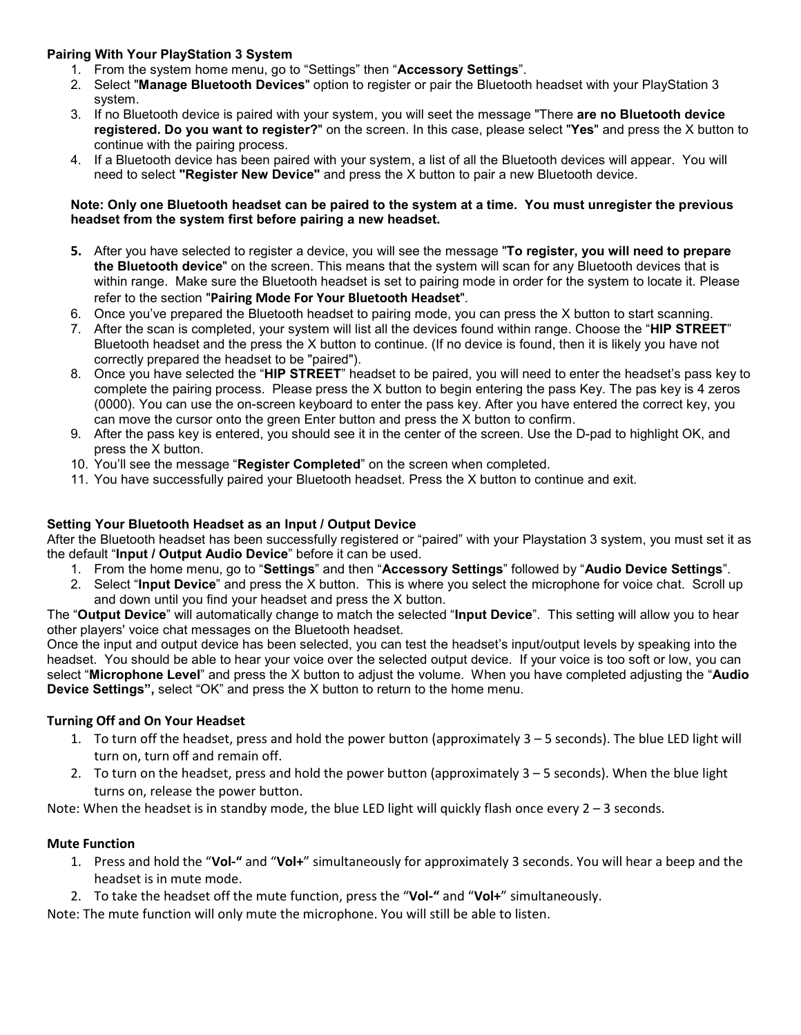# Pairing With Your PlayStation 3 System

- 1. From the system home menu, go to "Settings" then "Accessory Settings".
- 2. Select "Manage Bluetooth Devices" option to register or pair the Bluetooth headset with your PlayStation 3 system.
- 3. If no Bluetooth device is paired with your system, you will seet the message "There are no Bluetooth device registered. Do you want to register?" on the screen. In this case, please select "Yes" and press the X button to continue with the pairing process.
- 4. If a Bluetooth device has been paired with your system, a list of all the Bluetooth devices will appear. You will need to select "Register New Device" and press the X button to pair a new Bluetooth device.

### Note: Only one Bluetooth headset can be paired to the system at a time. You must unregister the previous headset from the system first before pairing a new headset.

- 5. After you have selected to register a device, you will see the message "To register, you will need to prepare the Bluetooth device" on the screen. This means that the system will scan for any Bluetooth devices that is within range. Make sure the Bluetooth headset is set to pairing mode in order for the system to locate it. Please refer to the section "Pairing Mode For Your Bluetooth Headset".
- 6. Once you've prepared the Bluetooth headset to pairing mode, you can press the X button to start scanning.
- 7. After the scan is completed, your system will list all the devices found within range. Choose the "HIP STREET" Bluetooth headset and the press the X button to continue. (If no device is found, then it is likely you have not correctly prepared the headset to be "paired").
- 8. Once you have selected the "HIP STREET" headset to be paired, you will need to enter the headset's pass key to complete the pairing process. Please press the X button to begin entering the pass Key. The pas key is 4 zeros (0000). You can use the on-screen keyboard to enter the pass key. After you have entered the correct key, you can move the cursor onto the green Enter button and press the X button to confirm.
- 9. After the pass key is entered, you should see it in the center of the screen. Use the D-pad to highlight OK, and press the X button.
- 10. You'll see the message "Register Completed" on the screen when completed.
- 11. You have successfully paired your Bluetooth headset. Press the X button to continue and exit.

## Setting Your Bluetooth Headset as an Input / Output Device

After the Bluetooth headset has been successfully registered or "paired" with your Playstation 3 system, you must set it as the default "Input / Output Audio Device" before it can be used.

- 1. From the home menu, go to "Settings" and then "Accessory Settings" followed by "Audio Device Settings".
- 2. Select "Input Device" and press the X button. This is where you select the microphone for voice chat. Scroll up and down until you find your headset and press the X button.

The "Output Device" will automatically change to match the selected "Input Device". This setting will allow you to hear other players' voice chat messages on the Bluetooth headset.

Once the input and output device has been selected, you can test the headset's input/output levels by speaking into the headset. You should be able to hear your voice over the selected output device. If your voice is too soft or low, you can select "Microphone Level" and press the X button to adjust the volume. When you have completed adjusting the "Audio Device Settings", select "OK" and press the X button to return to the home menu.

## Turning Off and On Your Headset

- 1. To turn off the headset, press and hold the power button (approximately 3 5 seconds). The blue LED light will turn on, turn off and remain off.
- 2. To turn on the headset, press and hold the power button (approximately 3 5 seconds). When the blue light turns on, release the power button.

Note: When the headset is in standby mode, the blue LED light will quickly flash once every  $2 - 3$  seconds.

## Mute Function

- 1. Press and hold the "Vol-" and "Vol+" simultaneously for approximately 3 seconds. You will hear a beep and the headset is in mute mode.
- 2. To take the headset off the mute function, press the "Vol-" and "Vol+" simultaneously.

Note: The mute function will only mute the microphone. You will still be able to listen.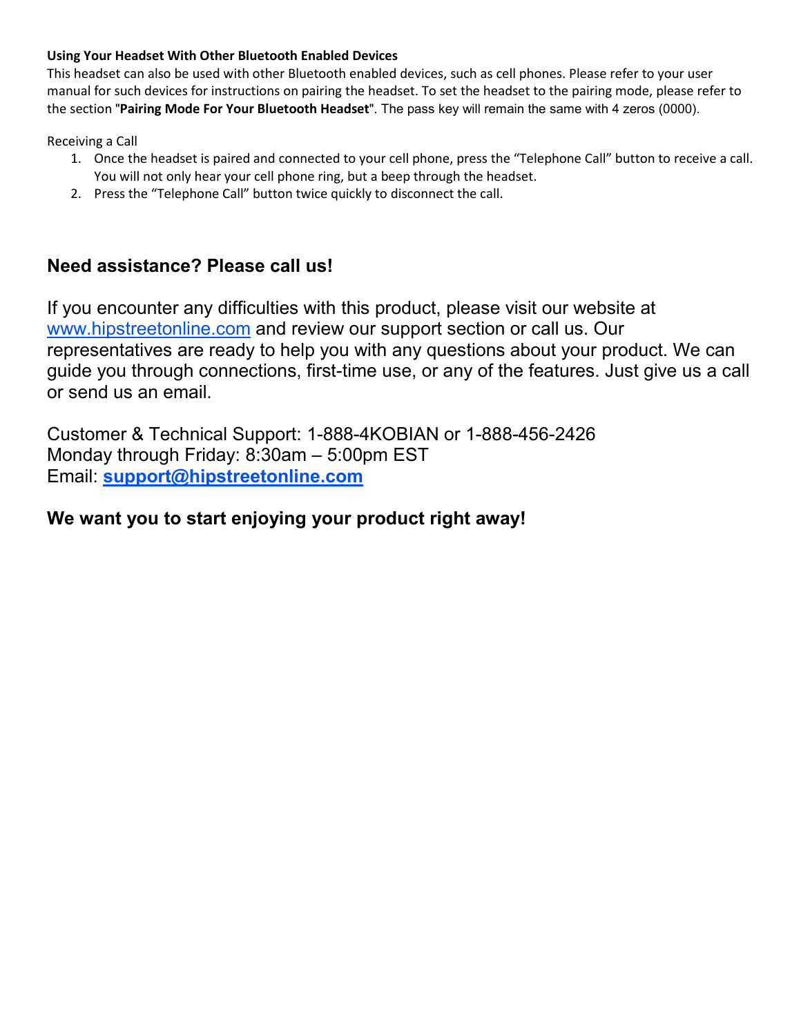# Using Your Headset With Other Bluetooth Enabled Devices

This headset can also be used with other Bluetooth enabled devices, such as cell phones. Please refer to your user manual for such devices for instructions on pairing the headset. To set the headset to the pairing mode, please refer to the section "Pairing Mode For Your Bluetooth Headset". The pass key will remain the same with 4 zeros (0000).

Receiving a Call

- 1. Once the headset is paired and connected to your cell phone, press the "Telephone Call" button to receive a call. You will not only hear your cell phone ring, but a beep through the headset.
- 2. Press the "Telephone Call" button twice quickly to disconnect the call.

# Need assistance? Please call us!

If you encounter any difficulties with this product, please visit our website at www.hipstreetonline.com and review our support section or call us. Our representatives are ready to help you with any questions about your product. We can guide you through connections, first-time use, or any of the features. Just give us a call or send us an email.

Customer & Technical Support: 1-888-4KOBIAN or 1-888-456-2426 Monday through Friday: 8:30am – 5:00pm EST Email: support@hipstreetonline.com

# We want you to start enjoying your product right away!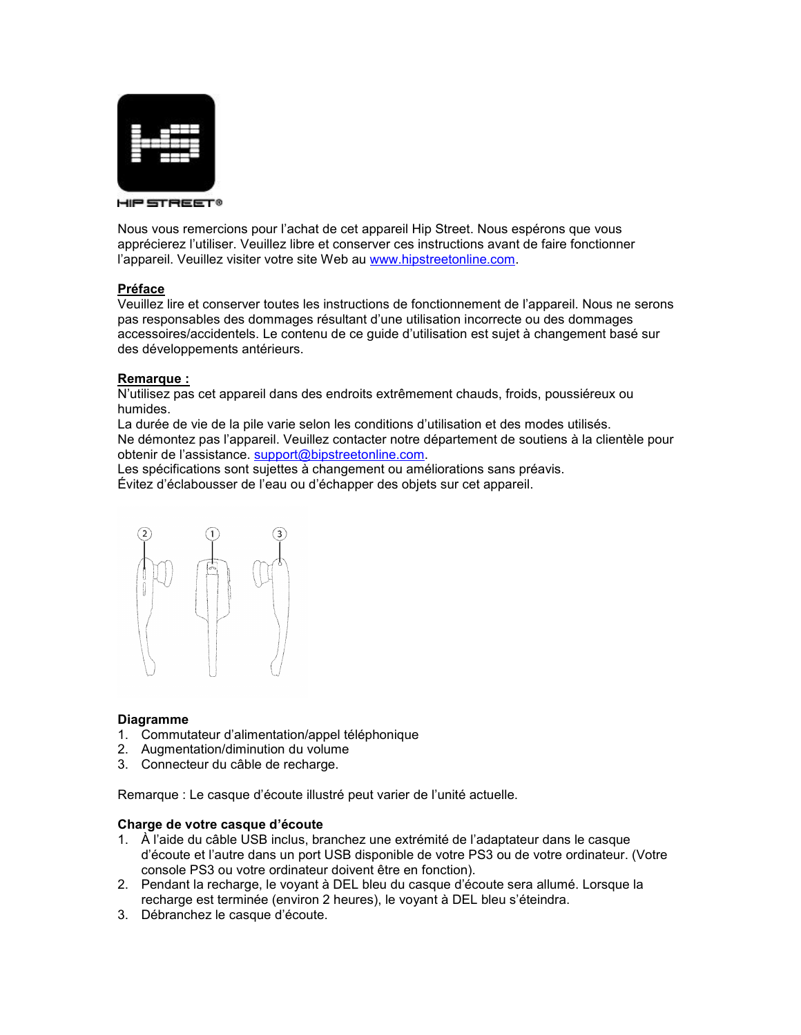

HIP STREET®

Nous vous remercions pour l'achat de cet appareil Hip Street. Nous espérons que vous apprécierez l'utiliser. Veuillez libre et conserver ces instructions avant de faire fonctionner l'appareil. Veuillez visiter votre site Web au www.hipstreetonline.com.

#### Préface

Veuillez lire et conserver toutes les instructions de fonctionnement de l'appareil. Nous ne serons pas responsables des dommages résultant d'une utilisation incorrecte ou des dommages accessoires/accidentels. Le contenu de ce guide d'utilisation est sujet à changement basé sur des développements antérieurs.

#### Remarque :

N'utilisez pas cet appareil dans des endroits extrêmement chauds, froids, poussiéreux ou humides.

La durée de vie de la pile varie selon les conditions d'utilisation et des modes utilisés. Ne démontez pas l'appareil. Veuillez contacter notre département de soutiens à la clientèle pour obtenir de l'assistance. support@bipstreetonline.com.

Les spécifications sont sujettes à changement ou améliorations sans préavis.

Évitez d'éclabousser de l'eau ou d'échapper des objets sur cet appareil.



#### Diagramme

- 1. Commutateur d'alimentation/appel téléphonique
- 2. Augmentation/diminution du volume
- 3. Connecteur du câble de recharge.

Remarque : Le casque d'écoute illustré peut varier de l'unité actuelle.

#### Charge de votre casque d'écoute

- 1. À l'aide du câble USB inclus, branchez une extrémité de l'adaptateur dans le casque d'écoute et l'autre dans un port USB disponible de votre PS3 ou de votre ordinateur. (Votre console PS3 ou votre ordinateur doivent être en fonction).
- 2. Pendant la recharge, le voyant à DEL bleu du casque d'écoute sera allumé. Lorsque la recharge est terminée (environ 2 heures), le voyant à DEL bleu s'éteindra.
- 3. Débranchez le casque d'écoute.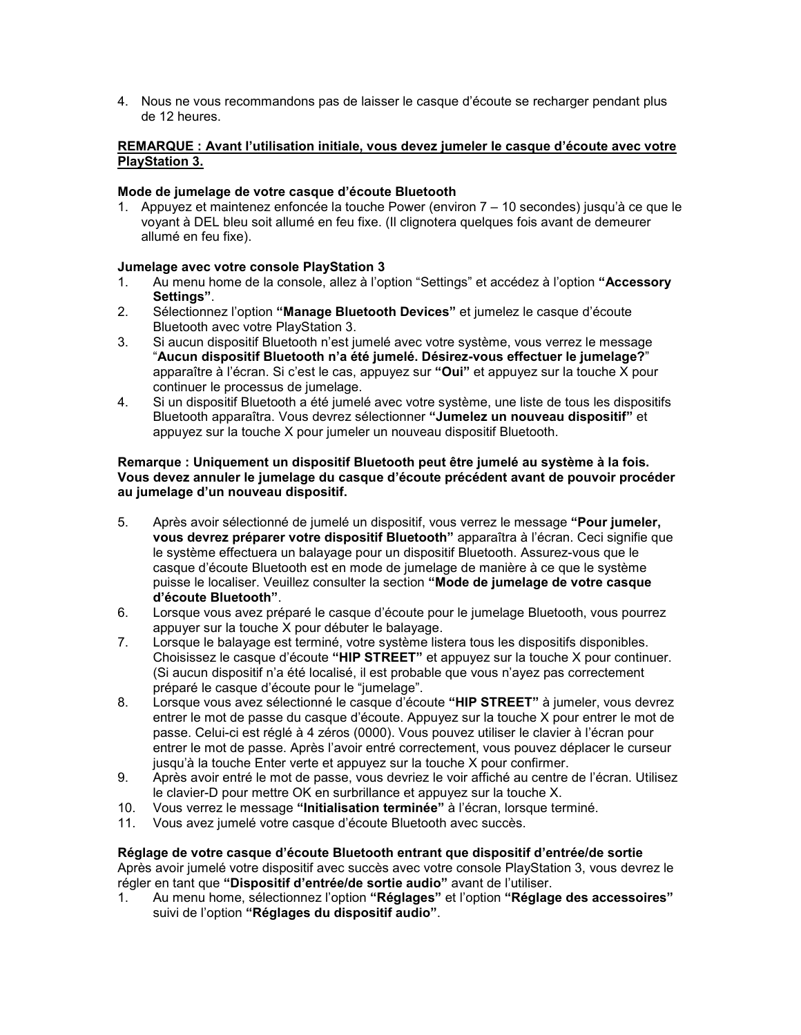4. Nous ne vous recommandons pas de laisser le casque d'écoute se recharger pendant plus de 12 heures.

## REMARQUE : Avant l'utilisation initiale, vous devez jumeler le casque d'écoute avec votre PlayStation 3.

## Mode de jumelage de votre casque d'écoute Bluetooth

1. Appuyez et maintenez enfoncée la touche Power (environ 7 – 10 secondes) jusqu'à ce que le voyant à DEL bleu soit allumé en feu fixe. (Il clignotera quelques fois avant de demeurer allumé en feu fixe).

### Jumelage avec votre console PlayStation 3

- 1. Au menu home de la console, allez à l'option "Settings" et accédez à l'option "Accessory Settings".
- 2. Sélectionnez l'option "Manage Bluetooth Devices" et jumelez le casque d'écoute Bluetooth avec votre PlayStation 3.
- 3. Si aucun dispositif Bluetooth n'est jumelé avec votre système, vous verrez le message "Aucun dispositif Bluetooth n'a été jumelé. Désirez-vous effectuer le jumelage?" apparaître à l'écran. Si c'est le cas, appuyez sur "Oui" et appuyez sur la touche X pour continuer le processus de jumelage.
- 4. Si un dispositif Bluetooth a été jumelé avec votre système, une liste de tous les dispositifs Bluetooth apparaîtra. Vous devrez sélectionner "Jumelez un nouveau dispositif" et appuyez sur la touche X pour jumeler un nouveau dispositif Bluetooth.

#### Remarque : Uniquement un dispositif Bluetooth peut être jumelé au système à la fois. Vous devez annuler le jumelage du casque d'écoute précédent avant de pouvoir procéder au jumelage d'un nouveau dispositif.

- 5. Après avoir sélectionné de jumelé un dispositif, vous verrez le message "Pour jumeler, vous devrez préparer votre dispositif Bluetooth" apparaîtra à l'écran. Ceci signifie que le système effectuera un balayage pour un dispositif Bluetooth. Assurez-vous que le casque d'écoute Bluetooth est en mode de jumelage de manière à ce que le système puisse le localiser. Veuillez consulter la section "Mode de jumelage de votre casque d'écoute Bluetooth".
- 6. Lorsque vous avez préparé le casque d'écoute pour le jumelage Bluetooth, vous pourrez appuyer sur la touche X pour débuter le balayage.
- 7. Lorsque le balayage est terminé, votre système listera tous les dispositifs disponibles. Choisissez le casque d'écoute "HIP STREET" et appuyez sur la touche X pour continuer. (Si aucun dispositif n'a été localisé, il est probable que vous n'ayez pas correctement préparé le casque d'écoute pour le "jumelage".
- 8. Lorsque vous avez sélectionné le casque d'écoute "HIP STREET" à jumeler, vous devrez entrer le mot de passe du casque d'écoute. Appuyez sur la touche X pour entrer le mot de passe. Celui-ci est réglé à 4 zéros (0000). Vous pouvez utiliser le clavier à l'écran pour entrer le mot de passe. Après l'avoir entré correctement, vous pouvez déplacer le curseur jusqu'à la touche Enter verte et appuyez sur la touche X pour confirmer.
- 9. Après avoir entré le mot de passe, vous devriez le voir affiché au centre de l'écran. Utilisez le clavier-D pour mettre OK en surbrillance et appuyez sur la touche X.
- 10. Vous verrez le message "Initialisation terminée" à l'écran, lorsque terminé.
- 11. Vous avez jumelé votre casque d'écoute Bluetooth avec succès.

## Réglage de votre casque d'écoute Bluetooth entrant que dispositif d'entrée/de sortie

Après avoir jumelé votre dispositif avec succès avec votre console PlayStation 3, vous devrez le régler en tant que "Dispositif d'entrée/de sortie audio" avant de l'utiliser.

1. Au menu home, sélectionnez l'option "Réglages" et l'option "Réglage des accessoires" suivi de l'option "Réglages du dispositif audio".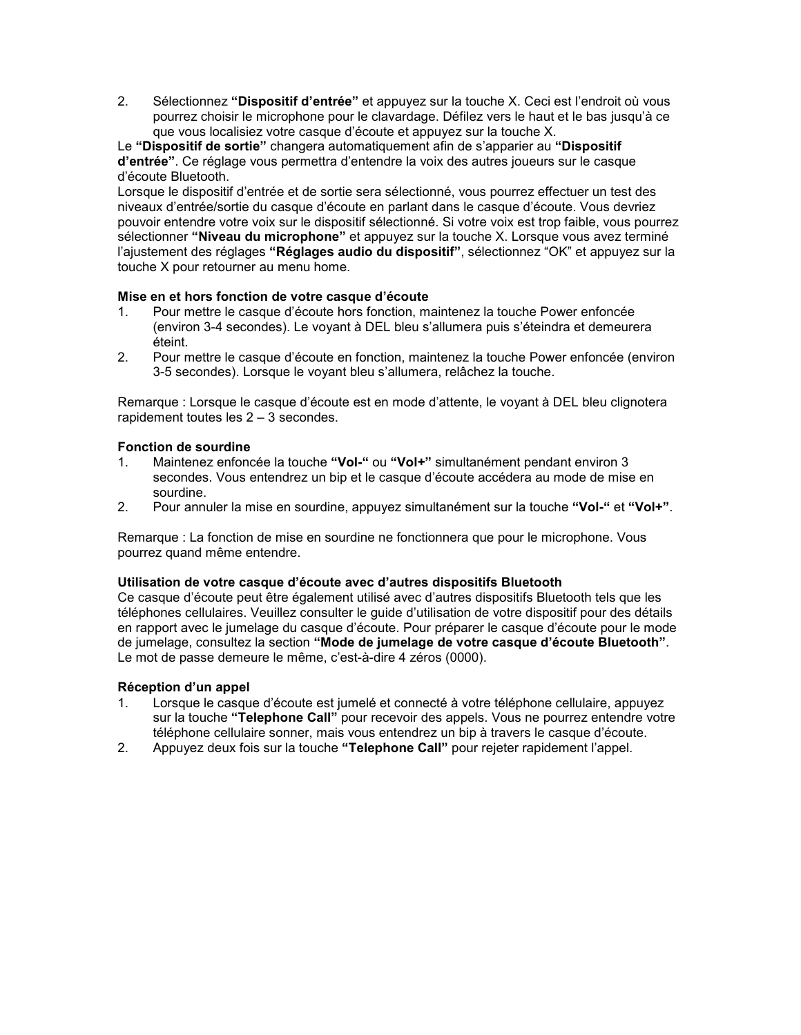2. Sélectionnez "Dispositif d'entrée" et appuyez sur la touche X. Ceci est l'endroit où vous pourrez choisir le microphone pour le clavardage. Défilez vers le haut et le bas jusqu'à ce que vous localisiez votre casque d'écoute et appuyez sur la touche X.

Le "Dispositif de sortie" changera automatiquement afin de s'apparier au "Dispositif d'entrée". Ce réglage vous permettra d'entendre la voix des autres joueurs sur le casque d'écoute Bluetooth.

Lorsque le dispositif d'entrée et de sortie sera sélectionné, vous pourrez effectuer un test des niveaux d'entrée/sortie du casque d'écoute en parlant dans le casque d'écoute. Vous devriez pouvoir entendre votre voix sur le dispositif sélectionné. Si votre voix est trop faible, vous pourrez sélectionner "Niveau du microphone" et appuyez sur la touche X. Lorsque vous avez terminé l'ajustement des réglages "Réglages audio du dispositif", sélectionnez "OK" et appuyez sur la touche X pour retourner au menu home.

### Mise en et hors fonction de votre casque d'écoute

- 1. Pour mettre le casque d'écoute hors fonction, maintenez la touche Power enfoncée (environ 3-4 secondes). Le voyant à DEL bleu s'allumera puis s'éteindra et demeurera éteint.
- 2. Pour mettre le casque d'écoute en fonction, maintenez la touche Power enfoncée (environ 3-5 secondes). Lorsque le voyant bleu s'allumera, relâchez la touche.

Remarque : Lorsque le casque d'écoute est en mode d'attente, le voyant à DEL bleu clignotera rapidement toutes les 2 – 3 secondes.

### Fonction de sourdine

- 1. Maintenez enfoncée la touche "Vol-" ou "Vol+" simultanément pendant environ 3 secondes. Vous entendrez un bip et le casque d'écoute accédera au mode de mise en sourdine.
- 2. Pour annuler la mise en sourdine, appuyez simultanément sur la touche "Vol-" et "Vol+".

Remarque : La fonction de mise en sourdine ne fonctionnera que pour le microphone. Vous pourrez quand même entendre.

#### Utilisation de votre casque d'écoute avec d'autres dispositifs Bluetooth

Ce casque d'écoute peut être également utilisé avec d'autres dispositifs Bluetooth tels que les téléphones cellulaires. Veuillez consulter le guide d'utilisation de votre dispositif pour des détails en rapport avec le jumelage du casque d'écoute. Pour préparer le casque d'écoute pour le mode de jumelage, consultez la section "Mode de jumelage de votre casque d'écoute Bluetooth". Le mot de passe demeure le même, c'est-à-dire 4 zéros (0000).

## Réception d'un appel

- 1. Lorsque le casque d'écoute est jumelé et connecté à votre téléphone cellulaire, appuyez sur la touche "Telephone Call" pour recevoir des appels. Vous ne pourrez entendre votre téléphone cellulaire sonner, mais vous entendrez un bip à travers le casque d'écoute.
- 2. Appuyez deux fois sur la touche "Telephone Call" pour rejeter rapidement l'appel.